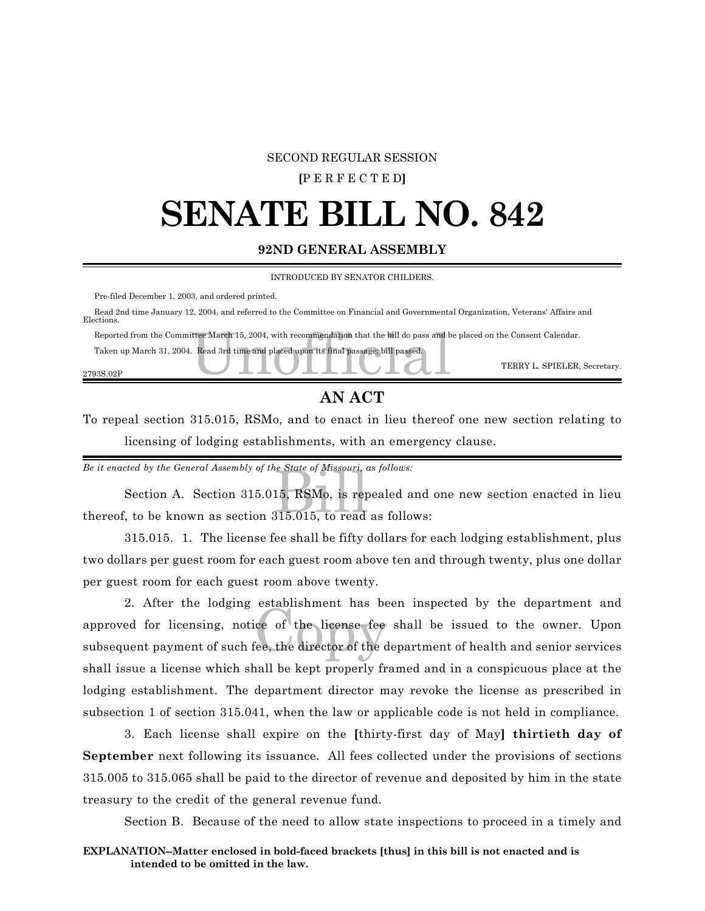#### SECOND REGULAR SESSION

#### **[**P E R F E C T E D**]**

### **SENATE BILL NO. 842**

#### **92ND GENERAL ASSEMBLY**

INTRODUCED BY SENATOR CHILDERS.

Pre-filed December 1, 2003, and ordered printed.

 Read 2nd time January 12, 2004, and referred to the Committee on Financial and Governmental Organization, Veterans' Affairs and Elections.

Reported from the Committee March 15, 2004, with recommendation that the bill do pass and be placed on the Consent Calendar.<br>Taken up March 31, 2004. Read 3rd time and placed upon its final passage, bill passed.<br>TERRY L. S

Taken up March 31, 2004. Read 3rd time and placed upon its final passage; bill passed.

2793S.02P

#### **AN ACT**

TERRY L. SPIELER, Secretary.

To repeal section 315.015, RSMo, and to enact in lieu thereof one new section relating to licensing of lodging establishments, with an emergency clause.

*Be it enacted by the General Assembly of the State of Missouri, as follows:*

e State of Missouri, c<br>15, RSMo, is rep<br>315.015, to read Section A. Section 315.015, RSMo, is repealed and one new section enacted in lieu thereof, to be known as section 315.015, to read as follows:

315.015. 1. The license fee shall be fifty dollars for each lodging establishment, plus two dollars per guest room for each guest room above ten and through twenty, plus one dollar per guest room for each guest room above twenty.

copyright interests of the license feed the director of the control of the control of the control of the control of the control of the control of the control of the control of the control of the control of the control of t 2. After the lodging establishment has been inspected by the department and approved for licensing, notice of the license fee shall be issued to the owner. Upon subsequent payment of such fee, the director of the department of health and senior services shall issue a license which shall be kept properly framed and in a conspicuous place at the lodging establishment. The department director may revoke the license as prescribed in subsection 1 of section 315.041, when the law or applicable code is not held in compliance.

3. Each license shall expire on the **[**thirty-first day of May**] thirtieth day of September** next following its issuance. All fees collected under the provisions of sections 315.005 to 315.065 shall be paid to the director of revenue and deposited by him in the state treasury to the credit of the general revenue fund.

Section B. Because of the need to allow state inspections to proceed in a timely and